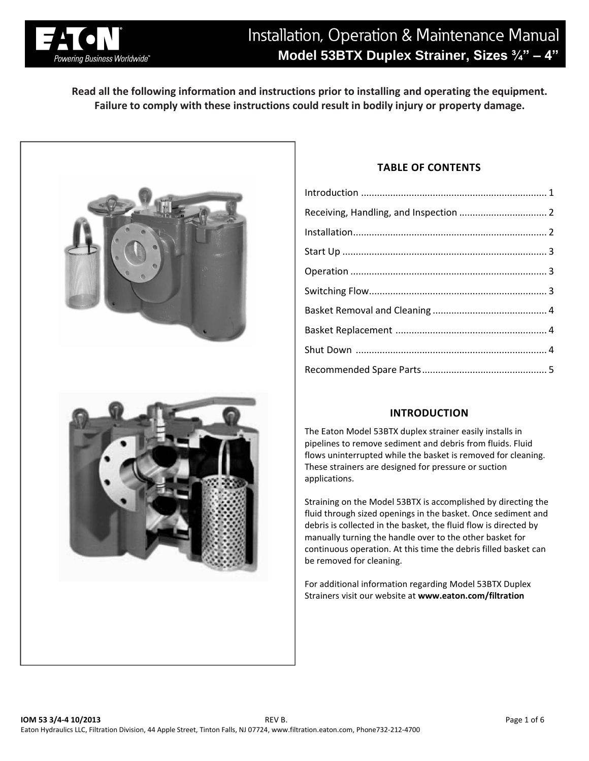

# Installation, Operation & Maintenance Manual **Model 53BTX Duplex Strainer, Sizes ¾" – 4"**

**Read all the following information and instructions prior to installing and operating the equipment. Failure to comply with these instructions could result in bodily injury or property damage.**



## **TABLE OF CONTENTS**

| Receiving, Handling, and Inspection  2 |  |
|----------------------------------------|--|
|                                        |  |
|                                        |  |
|                                        |  |
|                                        |  |
|                                        |  |
|                                        |  |
|                                        |  |
|                                        |  |
|                                        |  |

# **INTRODUCTION**

The Eaton Model 53BTX duplex strainer easily installs in pipelines to remove sediment and debris from fluids. Fluid flows uninterrupted while the basket is removed for cleaning. These strainers are designed for pressure or suction applications.

Straining on the Model 53BTX is accomplished by directing the fluid through sized openings in the basket. Once sediment and debris is collected in the basket, the fluid flow is directed by manually turning the handle over to the other basket for continuous operation. At this time the debris filled basket can be removed for cleaning.

For additional information regarding Model 53BTX Duplex Strainers visit our website at **www.eaton.com/filtration**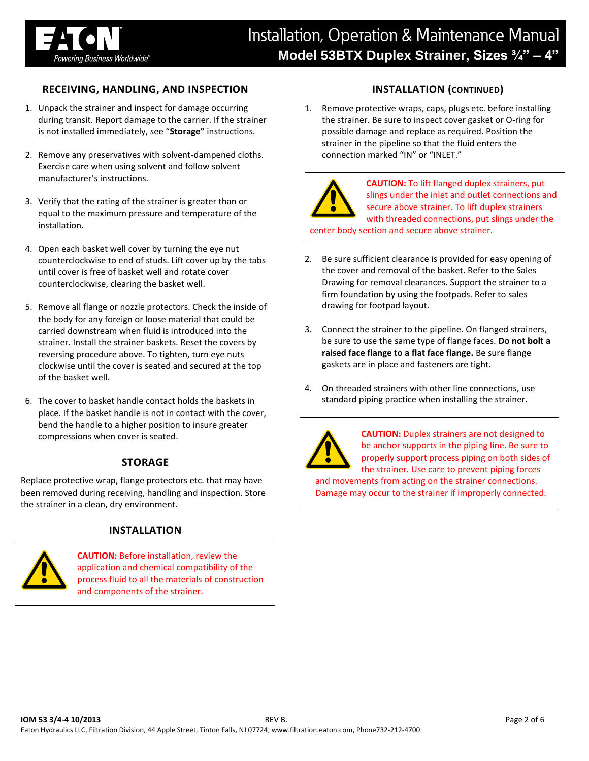

## **RECEIVING, HANDLING, AND INSPECTION**

- 1. Unpack the strainer and inspect for damage occurring during transit. Report damage to the carrier. If the strainer is not installed immediately, see "**Storage"** instructions.
- 2. Remove any preservatives with solvent-dampened cloths. Exercise care when using solvent and follow solvent manufacturer's instructions.
- 3. Verify that the rating of the strainer is greater than or equal to the maximum pressure and temperature of the installation.
- 4. Open each basket well cover by turning the eye nut counterclockwise to end of studs. Lift cover up by the tabs until cover is free of basket well and rotate cover counterclockwise, clearing the basket well.
- 5. Remove all flange or nozzle protectors. Check the inside of the body for any foreign or loose material that could be carried downstream when fluid is introduced into the strainer. Install the strainer baskets. Reset the covers by reversing procedure above. To tighten, turn eye nuts clockwise until the cover is seated and secured at the top of the basket well.
- 6. The cover to basket handle contact holds the baskets in place. If the basket handle is not in contact with the cover, bend the handle to a higher position to insure greater compressions when cover is seated.

## **STORAGE**

Replace protective wrap, flange protectors etc. that may have been removed during receiving, handling and inspection. Store the strainer in a clean, dry environment.

#### **INSTALLATION**



**CAUTION:** Before installation, review the application and chemical compatibility of the process fluid to all the materials of construction and components of the strainer.

## **INSTALLATION (CONTINUED)**

1. Remove protective wraps, caps, plugs etc. before installing the strainer. Be sure to inspect cover gasket or O-ring for possible damage and replace as required. Position the strainer in the pipeline so that the fluid enters the connection marked "IN" or "INLET."



**CAUTION:** To lift flanged duplex strainers, put slings under the inlet and outlet connections and secure above strainer. To lift duplex strainers with threaded connections, put slings under the

center body section and secure above strainer.

- 2. Be sure sufficient clearance is provided for easy opening of the cover and removal of the basket. Refer to the Sales Drawing for removal clearances. Support the strainer to a firm foundation by using the footpads. Refer to sales drawing for footpad layout.
- 3. Connect the strainer to the pipeline. On flanged strainers, be sure to use the same type of flange faces. **Do not bolt a raised face flange to a flat face flange.** Be sure flange gaskets are in place and fasteners are tight.
- 4. On threaded strainers with other line connections, use standard piping practice when installing the strainer.



**CAUTION:** Duplex strainers are not designed to be anchor supports in the piping line. Be sure to properly support process piping on both sides of the strainer. Use care to prevent piping forces and movements from acting on the strainer connections. Damage may occur to the strainer if improperly connected.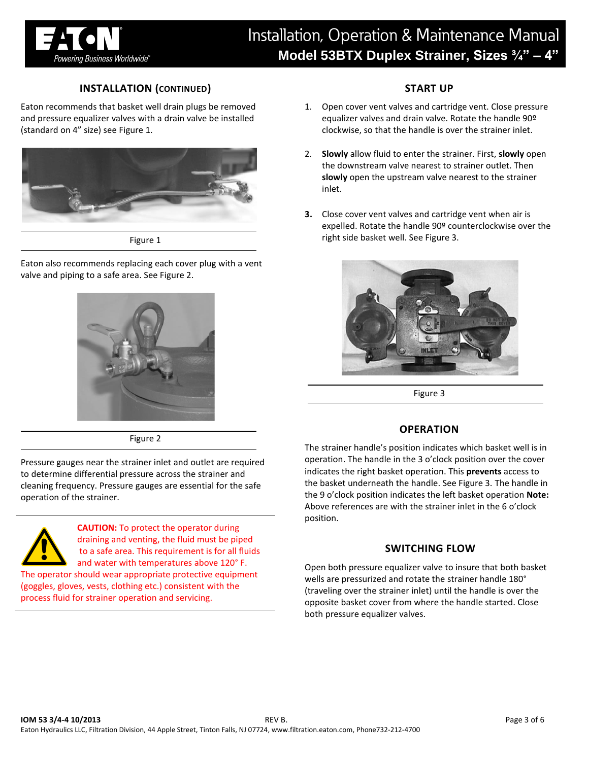

## **INSTALLATION (CONTINUED)**

Eaton recommends that basket well drain plugs be removed and pressure equalizer valves with a drain valve be installed (standard on 4" size) see Figure 1.



Figure 1

Eaton also recommends replacing each cover plug with a vent valve and piping to a safe area. See Figure 2.





Pressure gauges near the strainer inlet and outlet are required to determine differential pressure across the strainer and cleaning frequency. Pressure gauges are essential for the safe operation of the strainer.



**CAUTION:** To protect the operator during draining and venting, the fluid must be piped to a safe area. This requirement is for all fluids and water with temperatures above 120° F.

The operator should wear appropriate protective equipment (goggles, gloves, vests, clothing etc.) consistent with the process fluid for strainer operation and servicing.

## **START UP**

- 1. Open cover vent valves and cartridge vent. Close pressure equalizer valves and drain valve. Rotate the handle 90º clockwise, so that the handle is over the strainer inlet.
- 2. **Slowly** allow fluid to enter the strainer. First, **slowly** open the downstream valve nearest to strainer outlet. Then **slowly** open the upstream valve nearest to the strainer inlet.
- **3.** Close cover vent valves and cartridge vent when air is expelled. Rotate the handle 90º counterclockwise over the right side basket well. See Figure 3.



Figure 3

#### **OPERATION**

The strainer handle's position indicates which basket well is in operation. The handle in the 3 o'clock position over the cover indicates the right basket operation. This **prevents** access to the basket underneath the handle. See Figure 3. The handle in the 9 o'clock position indicates the left basket operation **Note:**  Above references are with the strainer inlet in the 6 o'clock position.

#### **SWITCHING FLOW**

Open both pressure equalizer valve to insure that both basket wells are pressurized and rotate the strainer handle 180° (traveling over the strainer inlet) until the handle is over the opposite basket cover from where the handle started. Close both pressure equalizer valves.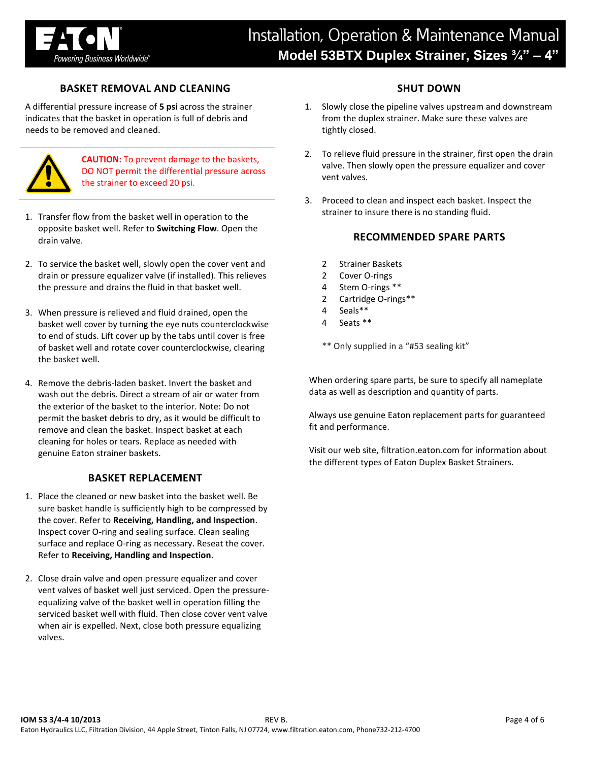

## **BASKET REMOVAL AND CLEANING**

A differential pressure increase of **5 psi** across the strainer indicates that the basket in operation is full of debris and needs to be removed and cleaned.



**CAUTION:** To prevent damage to the baskets, DO NOT permit the differential pressure across the strainer to exceed 20 psi.

- 1. Transfer flow from the basket well in operation to the opposite basket well. Refer to **Switching Flow**. Open the drain valve.
- 2. To service the basket well, slowly open the cover vent and drain or pressure equalizer valve (if installed). This relieves the pressure and drains the fluid in that basket well.
- 3. When pressure is relieved and fluid drained, open the basket well cover by turning the eye nuts counterclockwise to end of studs. Lift cover up by the tabs until cover is free of basket well and rotate cover counterclockwise, clearing the basket well.
- 4. Remove the debris-laden basket. Invert the basket and wash out the debris. Direct a stream of air or water from the exterior of the basket to the interior. Note: Do not permit the basket debris to dry, as it would be difficult to remove and clean the basket. Inspect basket at each cleaning for holes or tears. Replace as needed with genuine Eaton strainer baskets.

#### **BASKET REPLACEMENT**

- 1. Place the cleaned or new basket into the basket well. Be sure basket handle is sufficiently high to be compressed by the cover. Refer to **Receiving, Handling, and Inspection**. Inspect cover O-ring and sealing surface. Clean sealing surface and replace O-ring as necessary. Reseat the cover. Refer to **Receiving, Handling and Inspection**.
- 2. Close drain valve and open pressure equalizer and cover vent valves of basket well just serviced. Open the pressureequalizing valve of the basket well in operation filling the serviced basket well with fluid. Then close cover vent valve when air is expelled. Next, close both pressure equalizing valves.

## **SHUT DOWN**

- 1. Slowly close the pipeline valves upstream and downstream from the duplex strainer. Make sure these valves are tightly closed.
- 2. To relieve fluid pressure in the strainer, first open the drain valve. Then slowly open the pressure equalizer and cover vent valves.
- 3. Proceed to clean and inspect each basket. Inspect the strainer to insure there is no standing fluid.

#### **RECOMMENDED SPARE PARTS**

- 2 Strainer Baskets
- 2 Cover O-rings
- 4 Stem O-rings \*\*
- 2 Cartridge O-rings\*\*
- 4 Seals\*\*
- 4 Seats \*\*

\*\* Only supplied in a "#53 sealing kit"

When ordering spare parts, be sure to specify all nameplate data as well as description and quantity of parts.

Always use genuine Eaton replacement parts for guaranteed fit and performance.

Visit our web site, filtration.eaton.com for information about the different types of Eaton Duplex Basket Strainers.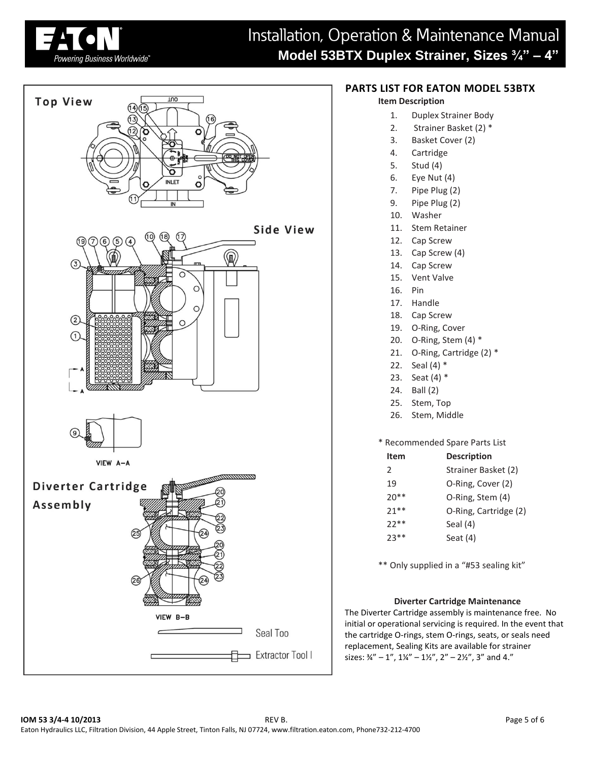



## **PARTS LIST FOR EATON MODEL 53BTX**

#### **Item Description**

- 1. Duplex Strainer Body
- 2. Strainer Basket (2) \*
- 3. Basket Cover (2)
- 4. Cartridge
- 5. Stud (4)
- 6. Eye Nut (4)
- 7. Pipe Plug (2)
- 9. Pipe Plug (2)
- 10. Washer
- 11. Stem Retainer
- 12. Cap Screw
- 13. Cap Screw (4)
- 14. Cap Screw
- 15. Vent Valve
- 16. Pin
- 17. Handle
- 18. Cap Screw
- 19. O-Ring, Cover
- 20. O-Ring, Stem (4) \*
- 21. O-Ring, Cartridge (2) \*
- 22. Seal (4) \*
- 23. Seat (4) \*
- 24. Ball (2)
- 25. Stem, Top
- 26. Stem, Middle

#### \* Recommended Spare Parts List

| Item   | <b>Description</b>    |
|--------|-----------------------|
| 2      | Strainer Basket (2)   |
| 19     | O-Ring, Cover (2)     |
| $20**$ | O-Ring, Stem (4)      |
| $21**$ | O-Ring, Cartridge (2) |
| 22**   | Seal $(4)$            |
| 23**   | Seat (4)              |
|        |                       |

\*\* Only supplied in a "#53 sealing kit"

#### **Diverter Cartridge Maintenance**

The Diverter Cartridge assembly is maintenance free. No initial or operational servicing is required. In the event that the cartridge O-rings, stem O-rings, seats, or seals need replacement, Sealing Kits are available for strainer sizes:  $\frac{3}{4}$ " – 1",  $\frac{1}{4}$ " –  $\frac{1}{2}$ ",  $\frac{2}{1}$  –  $\frac{2}{2}$ ", 3" and 4."